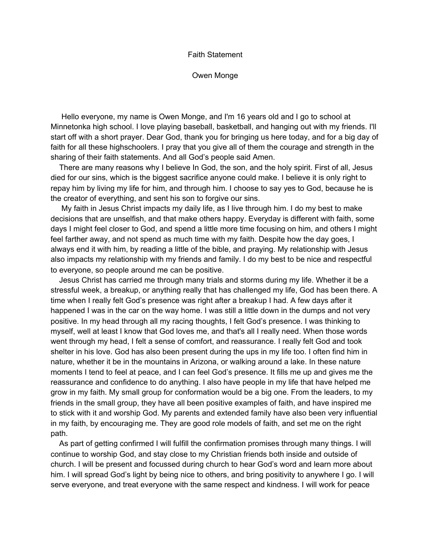## Faith Statement

Owen Monge

Hello everyone, my name is Owen Monge, and I'm 16 years old and I go to school at Minnetonka high school. I love playing baseball, basketball, and hanging out with my friends. I'll start off with a short prayer. Dear God, thank you for bringing us here today, and for a big day of faith for all these highschoolers. I pray that you give all of them the courage and strength in the sharing of their faith statements. And all God's people said Amen.

There are many reasons why I believe In God, the son, and the holy spirit. First of all, Jesus died for our sins, which is the biggest sacrifice anyone could make. I believe it is only right to repay him by living my life for him, and through him. I choose to say yes to God, because he is the creator of everything, and sent his son to forgive our sins.

My faith in Jesus Christ impacts my daily life, as I live through him. I do my best to make decisions that are unselfish, and that make others happy. Everyday is different with faith, some days I might feel closer to God, and spend a little more time focusing on him, and others I might feel farther away, and not spend as much time with my faith. Despite how the day goes, I always end it with him, by reading a little of the bible, and praying. My relationship with Jesus also impacts my relationship with my friends and family. I do my best to be nice and respectful to everyone, so people around me can be positive.

Jesus Christ has carried me through many trials and storms during my life. Whether it be a stressful week, a breakup, or anything really that has challenged my life, God has been there. A time when I really felt God's presence was right after a breakup I had. A few days after it happened I was in the car on the way home. I was still a little down in the dumps and not very positive. In my head through all my racing thoughts, I felt God's presence. I was thinking to myself, well at least I know that God loves me, and that's all I really need. When those words went through my head, I felt a sense of comfort, and reassurance. I really felt God and took shelter in his love. God has also been present during the ups in my life too. I often find him in nature, whether it be in the mountains in Arizona, or walking around a lake. In these nature moments I tend to feel at peace, and I can feel God's presence. It fills me up and gives me the reassurance and confidence to do anything. I also have people in my life that have helped me grow in my faith. My small group for conformation would be a big one. From the leaders, to my friends in the small group, they have all been positive examples of faith, and have inspired me to stick with it and worship God. My parents and extended family have also been very influential in my faith, by encouraging me. They are good role models of faith, and set me on the right path.

As part of getting confirmed I will fulfill the confirmation promises through many things. I will continue to worship God, and stay close to my Christian friends both inside and outside of church. I will be present and focussed during church to hear God's word and learn more about him. I will spread God's light by being nice to others, and bring positivity to anywhere I go. I will serve everyone, and treat everyone with the same respect and kindness. I will work for peace